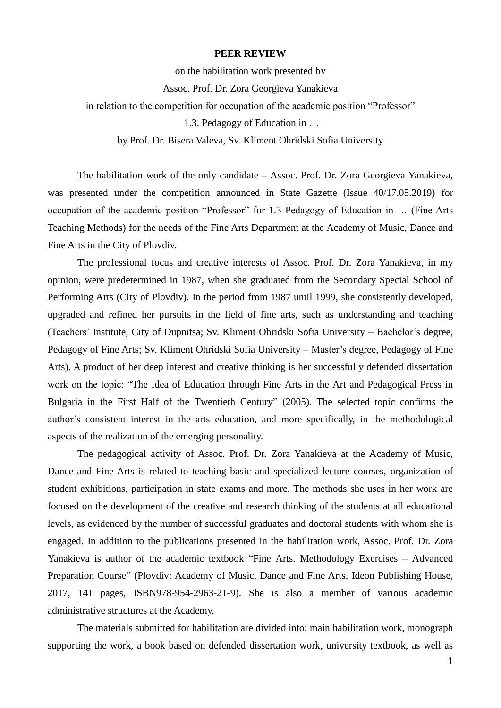## **PEER REVIEW**

on the habilitation work presented by Assoc. Prof. Dr. Zora Georgieva Yanakieva in relation to the competition for occupation of the academic position "Professor" 1.3. Pedagogy of Education in … by Prof. Dr. Bisera Valeva, Sv. Kliment Ohridski Sofia University

The habilitation work of the only candidate – Assoc. Prof. Dr. Zora Georgieva Yanakieva, was presented under the competition announced in State Gazette (Issue 40/17.05.2019) for occupation of the academic position "Professor" for 1.3 Pedagogy of Education in … (Fine Arts Teaching Methods) for the needs of the Fine Arts Department at the Academy of Music, Dance and Fine Arts in the City of Plovdiv.

The professional focus and creative interests of Assoc. Prof. Dr. Zora Yanakieva, in my opinion, were predetermined in 1987, when she graduated from the Secondary Special School of Performing Arts (City of Plovdiv). In the period from 1987 until 1999, she consistently developed, upgraded and refined her pursuits in the field of fine arts, such as understanding and teaching (Teachers' Institute, City of Dupnitsa; Sv. Kliment Ohridski Sofia University – Bachelor's degree, Pedagogy of Fine Arts; Sv. Kliment Ohridski Sofia University – Master's degree, Pedagogy of Fine Arts). A product of her deep interest and creative thinking is her successfully defended dissertation work on the topic: "The Idea of Education through Fine Arts in the Art and Pedagogical Press in Bulgaria in the First Half of the Twentieth Century" (2005). The selected topic confirms the author's consistent interest in the arts education, and more specifically, in the methodological aspects of the realization of the emerging personality.

The pedagogical activity of Assoc. Prof. Dr. Zora Yanakieva at the Academy of Music, Dance and Fine Arts is related to teaching basic and specialized lecture courses, organization of student exhibitions, participation in state exams and more. The methods she uses in her work are focused on the development of the creative and research thinking of the students at all educational levels, as evidenced by the number of successful graduates and doctoral students with whom she is engaged. In addition to the publications presented in the habilitation work, Assoc. Prof. Dr. Zora Yanakieva is author of the academic textbook "Fine Arts. Methodology Exercises – Advanced Preparation Course" (Plovdiv: Academy of Music, Dance and Fine Arts, Ideon Publishing House, 2017, 141 pages, ISBN978-954-2963-21-9). She is also a member of various academic administrative structures at the Academy.

The materials submitted for habilitation are divided into: main habilitation work, monograph supporting the work, a book based on defended dissertation work, university textbook, as well as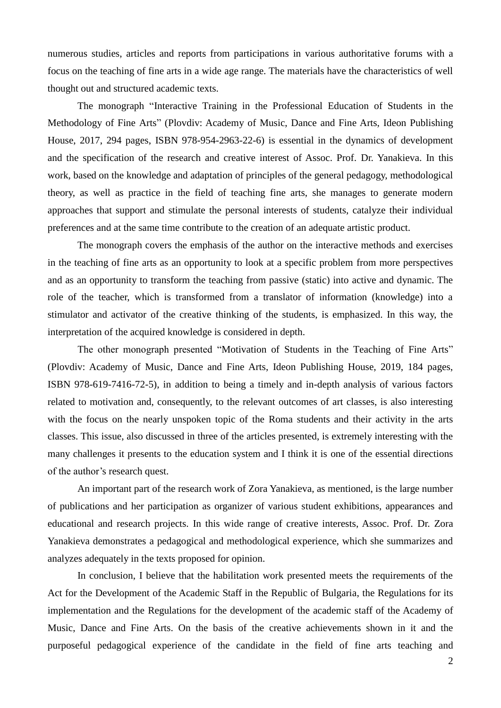numerous studies, articles and reports from participations in various authoritative forums with a focus on the teaching of fine arts in a wide age range. The materials have the characteristics of well thought out and structured academic texts.

The monograph "Interactive Training in the Professional Education of Students in the Methodology of Fine Arts" (Plovdiv: Academy of Music, Dance and Fine Arts, Ideon Publishing House, 2017, 294 pages, ISBN 978-954-2963-22-6) is essential in the dynamics of development and the specification of the research and creative interest of Assoc. Prof. Dr. Yanakieva. In this work, based on the knowledge and adaptation of principles of the general pedagogy, methodological theory, as well as practice in the field of teaching fine arts, she manages to generate modern approaches that support and stimulate the personal interests of students, catalyze their individual preferences and at the same time contribute to the creation of an adequate artistic product.

The monograph covers the emphasis of the author on the interactive methods and exercises in the teaching of fine arts as an opportunity to look at a specific problem from more perspectives and as an opportunity to transform the teaching from passive (static) into active and dynamic. The role of the teacher, which is transformed from a translator of information (knowledge) into a stimulator and activator of the creative thinking of the students, is emphasized. In this way, the interpretation of the acquired knowledge is considered in depth.

The other monograph presented "Motivation of Students in the Teaching of Fine Arts" (Plovdiv: Academy of Music, Dance and Fine Arts, Ideon Publishing House, 2019, 184 pages, ISBN 978-619-7416-72-5), in addition to being a timely and in-depth analysis of various factors related to motivation and, consequently, to the relevant outcomes of art classes, is also interesting with the focus on the nearly unspoken topic of the Roma students and their activity in the arts classes. This issue, also discussed in three of the articles presented, is extremely interesting with the many challenges it presents to the education system and I think it is one of the essential directions of the author's research quest.

An important part of the research work of Zora Yanakieva, as mentioned, is the large number of publications and her participation as organizer of various student exhibitions, appearances and educational and research projects. In this wide range of creative interests, Assoc. Prof. Dr. Zora Yanakieva demonstrates a pedagogical and methodological experience, which she summarizes and analyzes adequately in the texts proposed for opinion.

In conclusion, I believe that the habilitation work presented meets the requirements of the Act for the Development of the Academic Staff in the Republic of Bulgaria, the Regulations for its implementation and the Regulations for the development of the academic staff of the Academy of Music, Dance and Fine Arts. On the basis of the creative achievements shown in it and the purposeful pedagogical experience of the candidate in the field of fine arts teaching and